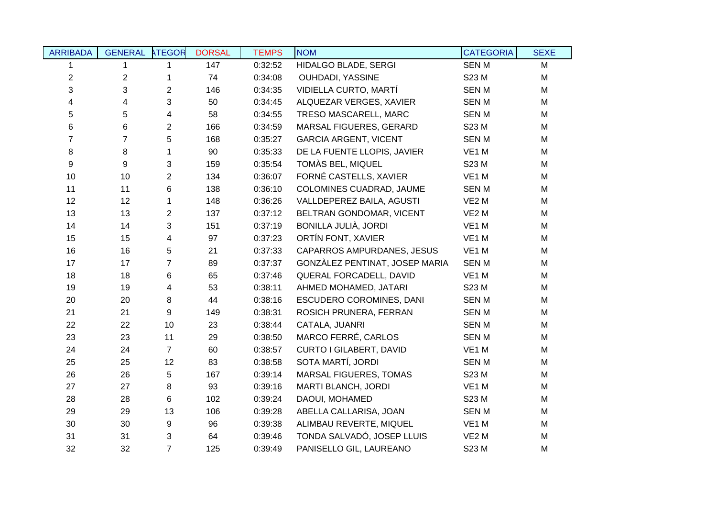| <b>ARRIBADA</b> | <b>GENERAL</b> | <b>ATEGOR</b>  | <b>DORSAL</b> | <b>TEMPS</b> | <b>NOM</b>                     | <b>CATEGORIA</b>  | <b>SEXE</b> |
|-----------------|----------------|----------------|---------------|--------------|--------------------------------|-------------------|-------------|
| 1               | 1              | 1              | 147           | 0:32:52      | HIDALGO BLADE, SERGI           | <b>SENM</b>       | M           |
| $\overline{c}$  | $\mathbf{2}$   | $\mathbf 1$    | 74            | 0:34:08      | OUHDADI, YASSINE               | S23 M             | M           |
| 3               | 3              | $\overline{2}$ | 146           | 0:34:35      | VIDIELLA CURTO, MARTÍ          | <b>SENM</b>       | M           |
| 4               | 4              | 3              | 50            | 0:34:45      | ALQUEZAR VERGES, XAVIER        | <b>SENM</b>       | M           |
| 5               | 5              | 4              | 58            | 0:34:55      | TRESO MASCARELL, MARC          | <b>SENM</b>       | M           |
| 6               | 6              | $\overline{2}$ | 166           | 0:34:59      | MARSAL FIGUERES, GERARD        | S23 M             | M           |
| $\overline{7}$  | $\overline{7}$ | 5              | 168           | 0:35:27      | <b>GARCIA ARGENT, VICENT</b>   | <b>SENM</b>       | M           |
| 8               | 8              | $\mathbf{1}$   | 90            | 0:35:33      | DE LA FUENTE LLOPIS, JAVIER    | VE1 M             | M           |
| 9               | 9              | 3              | 159           | 0:35:54      | TOMÀS BEL, MIQUEL              | S23 M             | M           |
| 10              | 10             | $\overline{2}$ | 134           | 0:36:07      | FORNÉ CASTELLS, XAVIER         | VE1 M             | M           |
| 11              | 11             | 6              | 138           | 0:36:10      | COLOMINES CUADRAD, JAUME       | <b>SENM</b>       | M           |
| 12              | 12             | 1              | 148           | 0:36:26      | VALLDEPEREZ BAILA, AGUSTI      | VE <sub>2</sub> M | M           |
| 13              | 13             | $\overline{2}$ | 137           | 0:37:12      | BELTRAN GONDOMAR, VICENT       | VE <sub>2</sub> M | M           |
| 14              | 14             | $\mathbf{3}$   | 151           | 0:37:19      | BONILLA JULIÀ, JORDI           | VE <sub>1</sub> M | M           |
| 15              | 15             | $\overline{4}$ | 97            | 0:37:23      | ORTÍN FONT, XAVIER             | VE <sub>1</sub> M | M           |
| 16              | 16             | 5              | 21            | 0:37:33      | CAPARROS AMPURDANES, JESUS     | VE1 M             | M           |
| 17              | 17             | $\overline{7}$ | 89            | 0:37:37      | GONZÀLEZ PENTINAT, JOSEP MARIA | <b>SENM</b>       | M           |
| 18              | 18             | 6              | 65            | 0:37:46      | QUERAL FORCADELL, DAVID        | VE1 M             | M           |
| 19              | 19             | 4              | 53            | 0:38:11      | AHMED MOHAMED, JATARI          | S23 M             | M           |
| 20              | 20             | 8              | 44            | 0:38:16      | ESCUDERO COROMINES, DANI       | <b>SENM</b>       | M           |
| 21              | 21             | $9\,$          | 149           | 0:38:31      | ROSICH PRUNERA, FERRAN         | <b>SENM</b>       | M           |
| 22              | 22             | 10             | 23            | 0:38:44      | CATALA, JUANRI                 | <b>SENM</b>       | M           |
| 23              | 23             | 11             | 29            | 0:38:50      | MARCO FERRÉ, CARLOS            | <b>SENM</b>       | M           |
| 24              | 24             | $\overline{7}$ | 60            | 0:38:57      | CURTO I GILABERT, DAVID        | VE1 M             | M           |
| 25              | 25             | 12             | 83            | 0:38:58      | SOTA MARTÍ, JORDI              | <b>SENM</b>       | M           |
| 26              | 26             | 5              | 167           | 0:39:14      | MARSAL FIGUERES, TOMAS         | S23 M             | M           |
| 27              | 27             | 8              | 93            | 0:39:16      | MARTI BLANCH, JORDI            | VE1 M             | M           |
| 28              | 28             | 6              | 102           | 0:39:24      | DAOUI, MOHAMED                 | S23 M             | M           |
| 29              | 29             | 13             | 106           | 0:39:28      | ABELLA CALLARISA, JOAN         | <b>SENM</b>       | M           |
| 30              | 30             | 9              | 96            | 0:39:38      | ALIMBAU REVERTE, MIQUEL        | VE <sub>1</sub> M | M           |
| 31              | 31             | $\mathbf{3}$   | 64            | 0:39:46      | TONDA SALVADÓ, JOSEP LLUIS     | VE <sub>2</sub> M | M           |
| 32              | 32             | $\overline{7}$ | 125           | 0:39:49      | PANISELLO GIL, LAUREANO        | S23 M             | M           |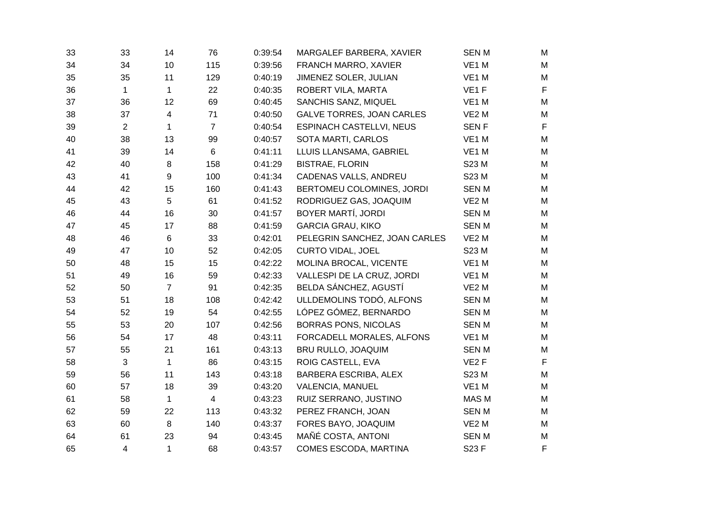| 33 | 33             | 14             | 76             | 0:39:54 | MARGALEF BARBERA, XAVIER         | <b>SENM</b>       | M           |
|----|----------------|----------------|----------------|---------|----------------------------------|-------------------|-------------|
| 34 | 34             | 10             | 115            | 0:39:56 | FRANCH MARRO, XAVIER             | VE1 M             | M           |
| 35 | 35             | 11             | 129            | 0:40:19 | JIMENEZ SOLER, JULIAN            | VE1 M             | M           |
| 36 | $\mathbf 1$    | 1              | 22             | 0:40:35 | ROBERT VILA, MARTA               | VE <sub>1</sub> F | $\mathsf F$ |
| 37 | 36             | 12             | 69             | 0:40:45 | SANCHIS SANZ, MIQUEL             | VE1 M             | M           |
| 38 | 37             | 4              | 71             | 0:40:50 | <b>GALVE TORRES, JOAN CARLES</b> | VE <sub>2</sub> M | M           |
| 39 | $\overline{2}$ | $\mathbf{1}$   | $\overline{7}$ | 0:40:54 | <b>ESPINACH CASTELLVI, NEUS</b>  | <b>SENF</b>       | $\mathsf F$ |
| 40 | 38             | 13             | 99             | 0:40:57 | SOTA MARTI, CARLOS               | VE1 M             | ${\sf M}$   |
| 41 | 39             | 14             | 6              | 0:41:11 | LLUIS LLANSAMA, GABRIEL          | VE1 M             | M           |
| 42 | 40             | 8              | 158            | 0:41:29 | <b>BISTRAE, FLORIN</b>           | S23 M             | M           |
| 43 | 41             | 9              | 100            | 0:41:34 | CADENAS VALLS, ANDREU            | S23 M             | ${\sf M}$   |
| 44 | 42             | 15             | 160            | 0:41:43 | BERTOMEU COLOMINES, JORDI        | <b>SENM</b>       | M           |
| 45 | 43             | 5              | 61             | 0:41:52 | RODRIGUEZ GAS, JOAQUIM           | VE <sub>2</sub> M | M           |
| 46 | 44             | 16             | 30             | 0:41:57 | BOYER MARTÍ, JORDI               | <b>SENM</b>       | M           |
| 47 | 45             | 17             | 88             | 0:41:59 | <b>GARCIA GRAU, KIKO</b>         | <b>SENM</b>       | M           |
| 48 | 46             | $6\phantom{1}$ | 33             | 0:42:01 | PELEGRIN SANCHEZ, JOAN CARLES    | VE <sub>2</sub> M | M           |
| 49 | 47             | 10             | 52             | 0:42:05 | <b>CURTO VIDAL, JOEL</b>         | S23 M             | M           |
| 50 | 48             | 15             | 15             | 0:42:22 | MOLINA BROCAL, VICENTE           | VE1 M             | M           |
| 51 | 49             | 16             | 59             | 0:42:33 | VALLESPI DE LA CRUZ, JORDI       | VE1 M             | ${\sf M}$   |
| 52 | 50             | $\overline{7}$ | 91             | 0:42:35 | BELDA SÁNCHEZ, AGUSTÍ            | VE <sub>2</sub> M | ${\sf M}$   |
| 53 | 51             | 18             | 108            | 0:42:42 | ULLDEMOLINS TODÓ, ALFONS         | <b>SENM</b>       | M           |
| 54 | 52             | 19             | 54             | 0:42:55 | LÓPEZ GÓMEZ, BERNARDO            | <b>SENM</b>       | M           |
| 55 | 53             | 20             | 107            | 0:42:56 | <b>BORRAS PONS, NICOLAS</b>      | <b>SENM</b>       | M           |
| 56 | 54             | 17             | 48             | 0:43:11 | FORCADELL MORALES, ALFONS        | VE1 M             | M           |
| 57 | 55             | 21             | 161            | 0:43:13 | BRU RULLO, JOAQUIM               | <b>SENM</b>       | M           |
| 58 | 3              | $\mathbf 1$    | 86             | 0:43:15 | ROIG CASTELL, EVA                | VE <sub>2</sub> F | $\mathsf F$ |
| 59 | 56             | 11             | 143            | 0:43:18 | BARBERA ESCRIBA, ALEX            | S23 M             | M           |
| 60 | 57             | 18             | 39             | 0:43:20 | VALENCIA, MANUEL                 | VE1 M             | ${\sf M}$   |
| 61 | 58             | $\mathbf{1}$   | $\overline{4}$ | 0:43:23 | RUIZ SERRANO, JUSTINO            | MAS M             | ${\sf M}$   |
| 62 | 59             | 22             | 113            | 0:43:32 | PEREZ FRANCH, JOAN               | <b>SENM</b>       | M           |
| 63 | 60             | 8              | 140            | 0:43:37 | FORES BAYO, JOAQUIM              | VE <sub>2</sub> M | M           |
| 64 | 61             | 23             | 94             | 0:43:45 | MAÑÉ COSTA, ANTONI               | <b>SENM</b>       | M           |
| 65 | 4              | $\mathbf{1}$   | 68             | 0:43:57 | COMES ESCODA, MARTINA            | S23 F             | F           |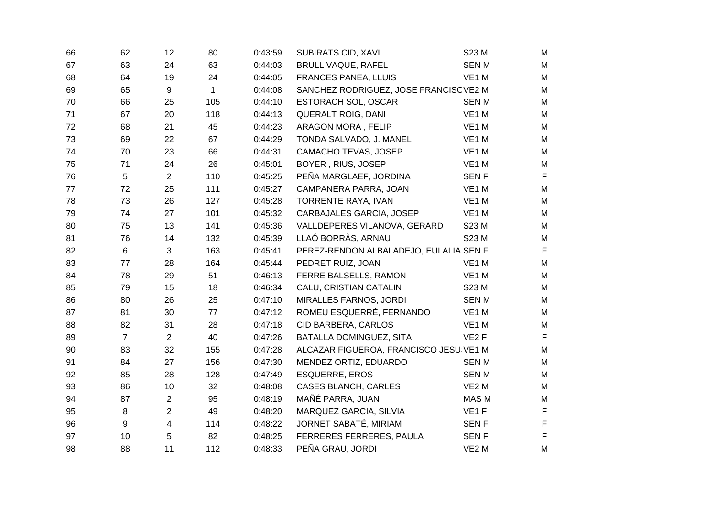| 66 | 62             | 12                      | 80           | 0:43:59 | <b>SUBIRATS CID, XAVI</b>              | S23 M             | M           |
|----|----------------|-------------------------|--------------|---------|----------------------------------------|-------------------|-------------|
| 67 | 63             | 24                      | 63           | 0:44:03 | <b>BRULL VAQUE, RAFEL</b>              | <b>SENM</b>       | M           |
| 68 | 64             | 19                      | 24           | 0:44:05 | FRANCES PANEA, LLUIS                   | VE1 M             | M           |
| 69 | 65             | 9                       | $\mathbf{1}$ | 0:44:08 | SANCHEZ RODRIGUEZ, JOSE FRANCISC VE2 M |                   | M           |
| 70 | 66             | 25                      | 105          | 0:44:10 | ESTORACH SOL, OSCAR                    | <b>SENM</b>       | M           |
| 71 | 67             | 20                      | 118          | 0:44:13 | <b>QUERALT ROIG, DANI</b>              | VE1 M             | M           |
| 72 | 68             | 21                      | 45           | 0:44:23 | ARAGON MORA, FELIP                     | VE1 M             | M           |
| 73 | 69             | 22                      | 67           | 0:44:29 | TONDA SALVADO, J. MANEL                | VE1 M             | M           |
| 74 | 70             | 23                      | 66           | 0:44:31 | CAMACHO TEVAS, JOSEP                   | VE1 M             | M           |
| 75 | 71             | 24                      | 26           | 0:45:01 | BOYER, RIUS, JOSEP                     | VE1 M             | M           |
| 76 | $\sqrt{5}$     | $\overline{2}$          | 110          | 0:45:25 | PEÑA MARGLAEF, JORDINA                 | <b>SENF</b>       | $\mathsf F$ |
| 77 | 72             | 25                      | 111          | 0:45:27 | CAMPANERA PARRA, JOAN                  | VE1 M             | M           |
| 78 | 73             | 26                      | 127          | 0:45:28 | TORRENTE RAYA, IVAN                    | VE1 M             | M           |
| 79 | 74             | 27                      | 101          | 0:45:32 | CARBAJALES GARCIA, JOSEP               | VE1 M             | M           |
| 80 | 75             | 13                      | 141          | 0:45:36 | VALLDEPERES VILANOVA, GERARD           | S23 M             | M           |
| 81 | 76             | 14                      | 132          | 0:45:39 | LLAÓ BORRÀS, ARNAU                     | S23 M             | M           |
| 82 | $6\phantom{1}$ | $\mathbf{3}$            | 163          | 0:45:41 | PEREZ-RENDON ALBALADEJO, EULALIA SEN F |                   | $\mathsf F$ |
| 83 | 77             | 28                      | 164          | 0:45:44 | PEDRET RUIZ, JOAN                      | VE1 M             | M           |
| 84 | 78             | 29                      | 51           | 0:46:13 | FERRE BALSELLS, RAMON                  | VE1 M             | M           |
| 85 | 79             | 15                      | 18           | 0:46:34 | CALU, CRISTIAN CATALIN                 | S23 M             | M           |
| 86 | 80             | 26                      | 25           | 0:47:10 | MIRALLES FARNOS, JORDI                 | <b>SENM</b>       | M           |
| 87 | 81             | 30                      | 77           | 0:47:12 | ROMEU ESQUERRÉ, FERNANDO               | VE1 M             | M           |
| 88 | 82             | 31                      | 28           | 0:47:18 | CID BARBERA, CARLOS                    | VE1 M             | M           |
| 89 | $\overline{7}$ | $\overline{2}$          | 40           | 0:47:26 | BATALLA DOMINGUEZ, SITA                | VE <sub>2</sub> F | $\mathsf F$ |
| 90 | 83             | 32                      | 155          | 0:47:28 | ALCAZAR FIGUEROA, FRANCISCO JESU VE1 M |                   | M           |
| 91 | 84             | 27                      | 156          | 0:47:30 | MENDEZ ORTIZ, EDUARDO                  | <b>SENM</b>       | M           |
| 92 | 85             | 28                      | 128          | 0:47:49 | <b>ESQUERRE, EROS</b>                  | <b>SENM</b>       | M           |
| 93 | 86             | 10                      | 32           | 0:48:08 | <b>CASES BLANCH, CARLES</b>            | VE <sub>2</sub> M | M           |
| 94 | 87             | $\overline{2}$          | 95           | 0:48:19 | MAÑÉ PARRA, JUAN                       | MAS M             | M           |
| 95 | 8              | $\overline{2}$          | 49           | 0:48:20 | MARQUEZ GARCIA, SILVIA                 | VE <sub>1</sub> F | $\mathsf F$ |
| 96 | 9              | $\overline{\mathbf{4}}$ | 114          | 0:48:22 | JORNET SABATÉ, MIRIAM                  | <b>SENF</b>       | $\mathsf F$ |
| 97 | 10             | 5                       | 82           | 0:48:25 | FERRERES FERRERES, PAULA               | <b>SENF</b>       | $\mathsf F$ |
| 98 | 88             | 11                      | 112          | 0:48:33 | PEÑA GRAU, JORDI                       | VE <sub>2</sub> M | M           |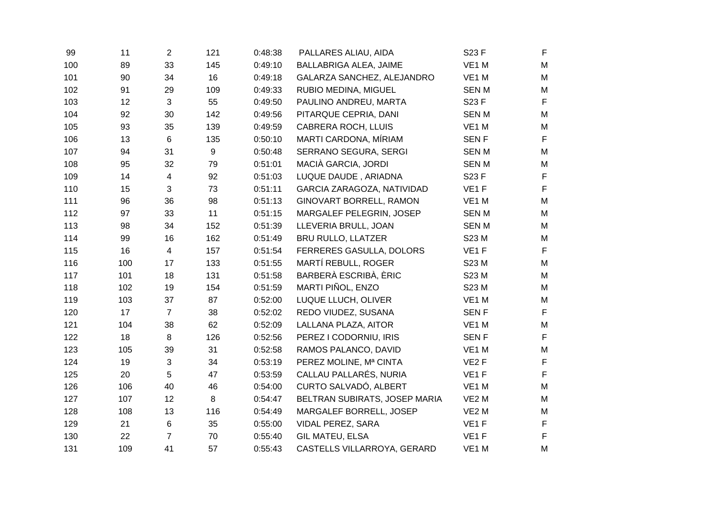| 99  | 11  | $\overline{2}$ | 121     | 0:48:38 | PALLARES ALIAU, AIDA          | S23 F             | $\mathsf F$ |
|-----|-----|----------------|---------|---------|-------------------------------|-------------------|-------------|
| 100 | 89  | 33             | 145     | 0:49:10 | BALLABRIGA ALEA, JAIME        | VE1 M             | M           |
| 101 | 90  | 34             | 16      | 0:49:18 | GALARZA SANCHEZ, ALEJANDRO    | VE1 M             | M           |
| 102 | 91  | 29             | 109     | 0:49:33 | RUBIO MEDINA, MIGUEL          | <b>SENM</b>       | M           |
| 103 | 12  | $\mathbf{3}$   | 55      | 0:49:50 | PAULINO ANDREU, MARTA         | S23 F             | $\mathsf F$ |
| 104 | 92  | 30             | 142     | 0:49:56 | PITARQUE CEPRIA, DANI         | <b>SENM</b>       | M           |
| 105 | 93  | 35             | 139     | 0:49:59 | <b>CABRERA ROCH, LLUIS</b>    | VE1 M             | M           |
| 106 | 13  | $\,6\,$        | 135     | 0:50:10 | MARTI CARDONA, MÍRIAM         | <b>SENF</b>       | $\mathsf F$ |
| 107 | 94  | 31             | 9       | 0:50:48 | SERRANO SEGURA, SERGI         | <b>SENM</b>       | M           |
| 108 | 95  | 32             | 79      | 0:51:01 | MACIÀ GARCIA, JORDI           | <b>SENM</b>       | M           |
| 109 | 14  | $\overline{4}$ | 92      | 0:51:03 | LUQUE DAUDE, ARIADNA          | S23 F             | $\mathsf F$ |
| 110 | 15  | 3              | 73      | 0:51:11 | GARCIA ZARAGOZA, NATIVIDAD    | VE <sub>1</sub> F | $\mathsf F$ |
| 111 | 96  | 36             | 98      | 0:51:13 | GINOVART BORRELL, RAMON       | VE1 M             | M           |
| 112 | 97  | 33             | 11      | 0:51:15 | MARGALEF PELEGRIN, JOSEP      | <b>SENM</b>       | M           |
| 113 | 98  | 34             | 152     | 0:51:39 | LLEVERIA BRULL, JOAN          | <b>SENM</b>       | M           |
| 114 | 99  | 16             | 162     | 0:51:49 | <b>BRU RULLO, LLATZER</b>     | S23 M             | M           |
| 115 | 16  | $\overline{4}$ | 157     | 0:51:54 | FERRERES GASULLA, DOLORS      | VE <sub>1</sub> F | $\mathsf F$ |
| 116 | 100 | 17             | 133     | 0:51:55 | MARTÍ REBULL, ROGER           | S23 M             | M           |
| 117 | 101 | 18             | 131     | 0:51:58 | BARBERÀ ESCRIBÀ, ÈRIC         | S23 M             | M           |
| 118 | 102 | 19             | 154     | 0:51:59 | MARTI PIÑOL, ENZO             | S23 M             | M           |
| 119 | 103 | 37             | 87      | 0:52:00 | LUQUE LLUCH, OLIVER           | VE1 M             | M           |
| 120 | 17  | $\overline{7}$ | 38      | 0:52:02 | REDO VIUDEZ, SUSANA           | <b>SENF</b>       | $\mathsf F$ |
| 121 | 104 | 38             | 62      | 0:52:09 | LALLANA PLAZA, AITOR          | VE1 M             | M           |
| 122 | 18  | 8              | 126     | 0:52:56 | PEREZ I CODORNIU, IRIS        | <b>SENF</b>       | $\mathsf F$ |
| 123 | 105 | 39             | 31      | 0:52:58 | RAMOS PALANCO, DAVID          | VE1 M             | M           |
| 124 | 19  | $\mathbf{3}$   | 34      | 0:53:19 | PEREZ MOLINE, Mª CINTA        | VE <sub>2</sub> F | $\mathsf F$ |
| 125 | 20  | 5              | 47      | 0:53:59 | CALLAU PALLARÉS, NURIA        | VE <sub>1</sub> F | $\mathsf F$ |
| 126 | 106 | 40             | 46      | 0:54:00 | CURTO SALVADÓ, ALBERT         | VE1 M             | ${\sf M}$   |
| 127 | 107 | 12             | $\bf 8$ | 0:54:47 | BELTRAN SUBIRATS, JOSEP MARIA | VE <sub>2</sub> M | M           |
| 128 | 108 | 13             | 116     | 0:54:49 | MARGALEF BORRELL, JOSEP       | VE <sub>2</sub> M | M           |
| 129 | 21  | 6              | 35      | 0:55:00 | VIDAL PEREZ, SARA             | VE <sub>1</sub> F | $\mathsf F$ |
| 130 | 22  | $\overline{7}$ | 70      | 0:55:40 | <b>GIL MATEU, ELSA</b>        | VE <sub>1</sub> F | $\mathsf F$ |
| 131 | 109 | 41             | 57      | 0:55:43 | CASTELLS VILLARROYA, GERARD   | VE1 M             | M           |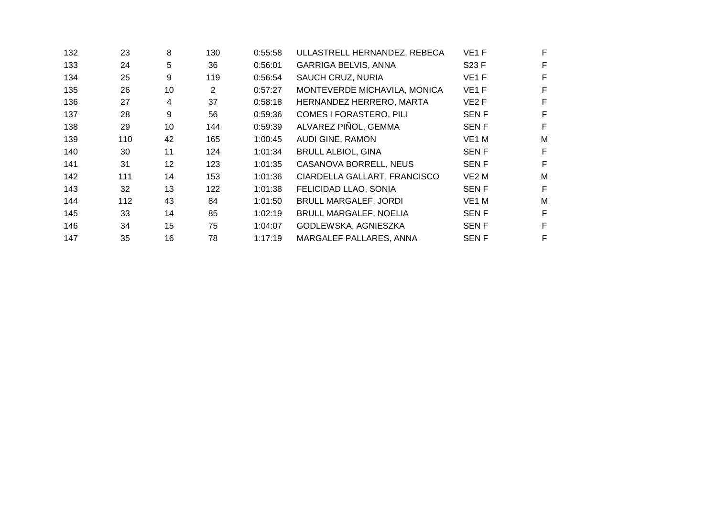| 132 | 23  | 8  | 130            | 0:55:58 | ULLASTRELL HERNANDEZ, REBECA   | VE <sub>1</sub> F |   |  |
|-----|-----|----|----------------|---------|--------------------------------|-------------------|---|--|
| 133 | 24  | 5  | 36             | 0.56:01 | <b>GARRIGA BELVIS, ANNA</b>    | S23 F             | F |  |
| 134 | 25  | 9  | 119            | 0:56:54 | SAUCH CRUZ, NURIA              | VE <sub>1</sub> F |   |  |
| 135 | 26  | 10 | $\overline{c}$ | 0:57:27 | MONTEVERDE MICHAVILA, MONICA   | VE <sub>1</sub> F | F |  |
| 136 | 27  | 4  | 37             | 0:58:18 | HERNANDEZ HERRERO, MARTA       | VE <sub>2</sub> F |   |  |
| 137 | 28  | 9  | 56             | 0:59:36 | <b>COMES I FORASTERO, PILI</b> | <b>SENF</b>       | F |  |
| 138 | 29  | 10 | 144            | 0:59:39 | ALVAREZ PIÑOL, GEMMA           | <b>SENF</b>       | F |  |
| 139 | 110 | 42 | 165            | 1:00:45 | AUDI GINE, RAMON               | VE <sub>1</sub> M | M |  |
| 140 | 30  | 11 | 124            | 1:01:34 | <b>BRULL ALBIOL, GINA</b>      | <b>SENF</b>       | F |  |
| 141 | 31  | 12 | 123            | 1:01:35 | CASANOVA BORRELL, NEUS         | <b>SENF</b>       | F |  |
| 142 | 111 | 14 | 153            | 1:01:36 | CIARDELLA GALLART, FRANCISCO   | VE <sub>2</sub> M | M |  |
| 143 | 32  | 13 | 122            | 1:01:38 | FELICIDAD LLAO, SONIA          | <b>SENF</b>       | F |  |
| 144 | 112 | 43 | 84             | 1:01:50 | <b>BRULL MARGALEF, JORDI</b>   | VE1 M             | M |  |
| 145 | 33  | 14 | 85             | 1:02:19 | <b>BRULL MARGALEF, NOELIA</b>  | <b>SENF</b>       | F |  |
| 146 | 34  | 15 | 75             | 1:04:07 | GODLEWSKA, AGNIESZKA           | <b>SENF</b>       | F |  |
| 147 | 35  | 16 | 78             | 1:17:19 | MARGALEF PALLARES, ANNA        | <b>SENF</b>       | F |  |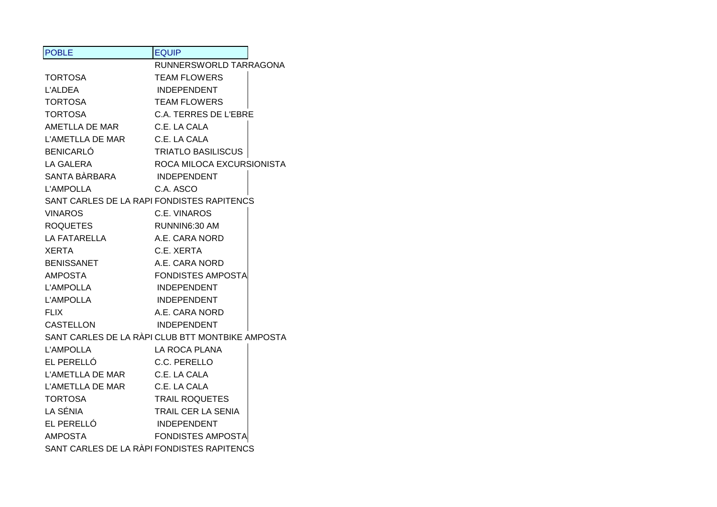| <b>POBLE</b>                  | <b>EQUIP</b>                                     |
|-------------------------------|--------------------------------------------------|
|                               | RUNNERSWORLD TARRAGONA                           |
| <b>TORTOSA</b>                | <b>TEAM FLOWERS</b>                              |
| <b>L'ALDEA</b>                | <b>INDEPENDENT</b>                               |
| <b>TORTOSA</b>                | <b>TEAM FLOWERS</b>                              |
| <b>TORTOSA</b>                | C.A. TERRES DE L'EBRE                            |
| AMETLLA DE MAR                | C.E. LA CALA                                     |
| L'AMETLLA DE MAR              | C.E. LA CALA                                     |
| <b>BENICARLÓ</b>              | <b>TRIATLO BASILISCUS</b>                        |
| <b>LA GALERA</b>              | ROCA MILOCA EXCURSIONISTA                        |
| SANTA BÀRBARA                 | <b>INDEPENDENT</b>                               |
| <b>L'AMPOLLA</b>              | C.A. ASCO                                        |
|                               | SANT CARLES DE LA RAPI FONDISTES RAPITENCS       |
| <b>VINAROS</b>                | C.E. VINAROS                                     |
| <b>ROQUETES</b>               | RUNNIN6:30 AM                                    |
| LA FATARELLA                  | A.E. CARA NORD                                   |
| <b>XERTA</b>                  | C.E. XERTA                                       |
| <b>BENISSANET</b>             | A.E. CARA NORD                                   |
| AMPOSTA                       | <b>FONDISTES AMPOSTA</b>                         |
| <b>L'AMPOLLA</b>              | <b>INDEPENDENT</b>                               |
| <b>L'AMPOLLA</b>              | <b>INDEPENDENT</b>                               |
| <b>FLIX</b>                   | A.E. CARA NORD                                   |
| <b>CASTELLON</b>              | <b>INDEPENDENT</b>                               |
|                               | SANT CARLES DE LA RÀPI CLUB BTT MONTBIKE AMPOSTA |
| <b>L'AMPOLLA</b>              | LA ROCA PLANA                                    |
| EL PERELLÓ                    | C.C. PERELLO                                     |
| L'AMETLLA DE MAR C.E. LA CALA |                                                  |
| L'AMETLLA DE MAR              | C.E. LA CALA                                     |
| <b>TORTOSA</b>                | <b>TRAIL ROQUETES</b>                            |
| LA SÉNIA                      | TRAIL CER LA SENIA                               |
| EL PERELLÓ                    | <b>INDEPENDENT</b>                               |
| <b>AMPOSTA</b>                | <b>FONDISTES AMPOSTA</b>                         |
|                               | SANT CARLES DE LA RÀPI FONDISTES RAPITENCS       |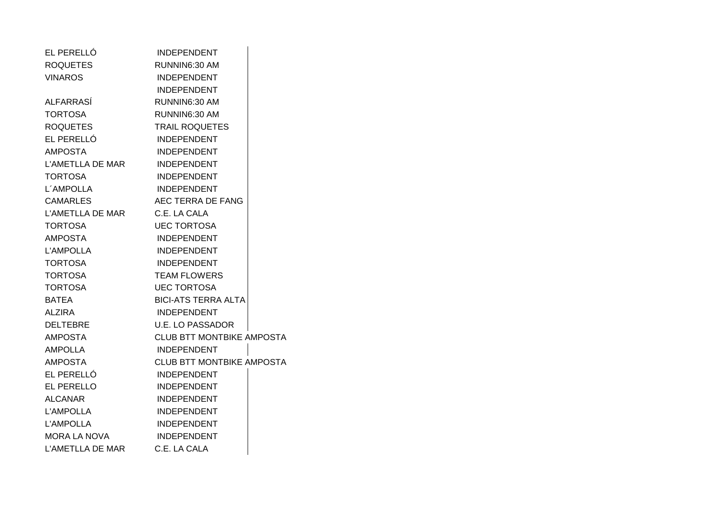| EL PERELLÓ                    | <b>INDEPENDENT</b>               |  |
|-------------------------------|----------------------------------|--|
| <b>ROQUETES</b>               | RUNNIN6:30 AM                    |  |
| <b>VINAROS</b>                | <b>INDEPENDENT</b>               |  |
|                               | <b>INDEPENDENT</b>               |  |
| <b>ALFARRASÍ</b>              | RUNNIN6:30 AM                    |  |
| <b>TORTOSA</b>                | RUNNIN6:30 AM                    |  |
| <b>ROQUETES</b>               | <b>TRAIL ROQUETES</b>            |  |
| EL PERELLÓ                    | <b>INDEPENDENT</b>               |  |
| AMPOSTA                       | INDEPENDENT                      |  |
| L'AMETLLA DE MAR              | <b>INDEPENDENT</b>               |  |
| TORTOSA                       | <b>INDEPENDENT</b>               |  |
| L'AMPOLLA                     | <b>INDEPENDENT</b>               |  |
| <b>CAMARLES</b>               | AEC TERRA DE FANG                |  |
| L'AMETLLA DE MAR C.E. LA CALA |                                  |  |
| TORTOSA                       | <b>UEC TORTOSA</b>               |  |
| AMPOSTA                       | <b>INDEPENDENT</b>               |  |
| <b>L'AMPOLLA</b>              | <b>INDEPENDENT</b>               |  |
| <b>TORTOSA</b>                | <b>INDEPENDENT</b>               |  |
| TORTOSA                       | <b>TEAM FLOWERS</b>              |  |
| TORTOSA                       | <b>UEC TORTOSA</b>               |  |
| BATEA                         | <b>BICI-ATS TERRA ALTA</b>       |  |
| <b>ALZIRA</b>                 | INDEPENDENT                      |  |
| DELTEBRE                      | <b>U.E. LO PASSADOR</b>          |  |
| <b>AMPOSTA</b>                | <b>CLUB BTT MONTBIKE AMPOSTA</b> |  |
| AMPOLLA                       | INDEPENDENT                      |  |
| <b>AMPOSTA</b>                | <b>CLUB BTT MONTBIKE AMPOSTA</b> |  |
| EL PERELLÓ                    | <b>INDEPENDENT</b>               |  |
| EL PERELLO                    | <b>INDEPENDENT</b>               |  |
| <b>ALCANAR</b>                | <b>INDEPENDENT</b>               |  |
| <b>L'AMPOLLA</b>              | <b>INDEPENDENT</b>               |  |
| <b>L'AMPOLLA</b>              | INDEPENDENT                      |  |
| MORA LA NOVA                  | INDEPENDENT                      |  |
| L'AMETLLA DE MAR              | C.E. LA CALA                     |  |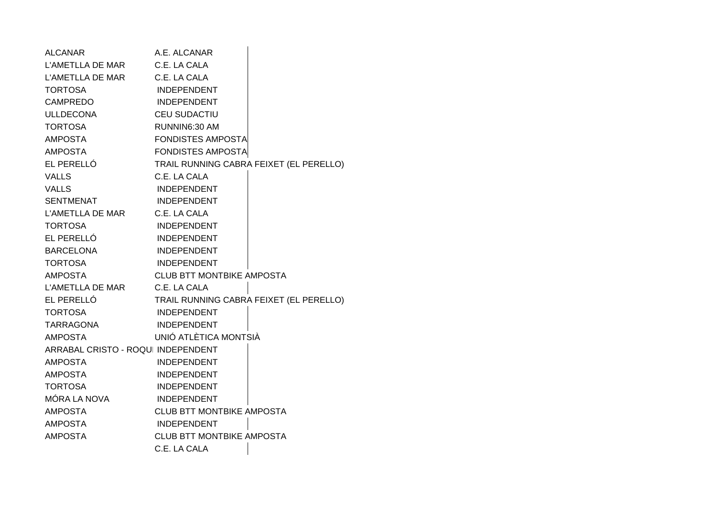| <b>ALCANAR</b>                     | A.E. ALCANAR                     |                                         |
|------------------------------------|----------------------------------|-----------------------------------------|
| L'AMETLLA DE MAR                   | C.E. LA CALA                     |                                         |
| L'AMETLLA DE MAR                   | C.E. LA CALA                     |                                         |
| <b>TORTOSA</b>                     | <b>INDEPENDENT</b>               |                                         |
| <b>CAMPREDO</b>                    | <b>INDEPENDENT</b>               |                                         |
| <b>ULLDECONA</b>                   | <b>CEU SUDACTIU</b>              |                                         |
| <b>TORTOSA</b>                     | RUNNIN6:30 AM                    |                                         |
| <b>AMPOSTA</b>                     | <b>FONDISTES AMPOSTA</b>         |                                         |
| <b>AMPOSTA</b>                     | <b>FONDISTES AMPOSTA</b>         |                                         |
| EL PERELLÓ                         |                                  | TRAIL RUNNING CABRA FEIXET (EL PERELLO) |
| <b>VALLS</b>                       | C.E. LA CALA                     |                                         |
| <b>VALLS</b>                       | <b>INDEPENDENT</b>               |                                         |
| <b>SENTMENAT</b>                   | <b>INDEPENDENT</b>               |                                         |
| L'AMETLLA DE MAR                   | C.E. LA CALA                     |                                         |
| <b>TORTOSA</b>                     | <b>INDEPENDENT</b>               |                                         |
| EL PERELLÓ                         | <b>INDEPENDENT</b>               |                                         |
| <b>BARCELONA</b>                   | <b>INDEPENDENT</b>               |                                         |
| <b>TORTOSA</b>                     | <b>INDEPENDENT</b>               |                                         |
| <b>AMPOSTA</b>                     | <b>CLUB BTT MONTBIKE AMPOSTA</b> |                                         |
| L'AMETLLA DE MAR                   | C.E. LA CALA                     |                                         |
| EL PERELLÓ                         |                                  | TRAIL RUNNING CABRA FEIXET (EL PERELLO) |
| <b>TORTOSA</b>                     | <b>INDEPENDENT</b>               |                                         |
| TARRAGONA                          | <b>INDEPENDENT</b>               |                                         |
| <b>AMPOSTA</b>                     | UNIÓ ATLÈTICA MONTSIÀ            |                                         |
| ARRABAL CRISTO - ROQUI INDEPENDENT |                                  |                                         |
| <b>AMPOSTA</b>                     | <b>INDEPENDENT</b>               |                                         |
| <b>AMPOSTA</b>                     | <b>INDEPENDENT</b>               |                                         |
| <b>TORTOSA</b>                     | <b>INDEPENDENT</b>               |                                         |
| MÓRA LA NOVA                       | <b>INDEPENDENT</b>               |                                         |
| <b>AMPOSTA</b>                     | <b>CLUB BTT MONTBIKE AMPOSTA</b> |                                         |
| <b>AMPOSTA</b>                     | <b>INDEPENDENT</b>               |                                         |
| <b>AMPOSTA</b>                     | <b>CLUB BTT MONTBIKE AMPOSTA</b> |                                         |
|                                    | C.E. LA CALA                     |                                         |
|                                    |                                  |                                         |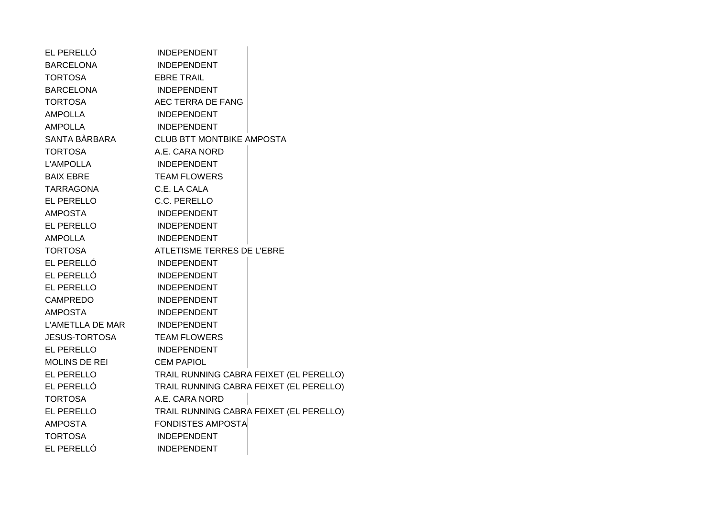| EL PERELLÓ           | <b>INDEPENDENT</b>                      |
|----------------------|-----------------------------------------|
| <b>BARCELONA</b>     | <b>INDEPENDENT</b>                      |
| <b>TORTOSA</b>       | <b>EBRE TRAIL</b>                       |
| <b>BARCELONA</b>     | <b>INDEPENDENT</b>                      |
| <b>TORTOSA</b>       | AEC TERRA DE FANG                       |
| <b>AMPOLLA</b>       | <b>INDEPENDENT</b>                      |
| <b>AMPOLLA</b>       | <b>INDEPENDENT</b>                      |
| SANTA BÀRBARA        | <b>CLUB BTT MONTBIKE AMPOSTA</b>        |
| <b>TORTOSA</b>       | A.E. CARA NORD                          |
| <b>L'AMPOLLA</b>     | INDEPENDENT                             |
| <b>BAIX EBRE</b>     | <b>TEAM FLOWERS</b>                     |
| TARRAGONA            | C.E. LA CALA                            |
| EL PERELLO           | C.C. PERELLO                            |
| <b>AMPOSTA</b>       | <b>INDEPENDENT</b>                      |
| EL PERELLO           | <b>INDEPENDENT</b>                      |
| <b>AMPOLLA</b>       | <b>INDEPENDENT</b>                      |
| <b>TORTOSA</b>       | ATLETISME TERRES DE L'EBRE              |
| EL PERELLÓ           | INDEPENDENT                             |
| EL PERELLÓ           | <b>INDEPENDENT</b>                      |
| EL PERELLO           | INDEPENDENT                             |
| <b>CAMPREDO</b>      | <b>INDEPENDENT</b>                      |
| <b>AMPOSTA</b>       | <b>INDEPENDENT</b>                      |
| L'AMETLLA DE MAR     | <b>INDEPENDENT</b>                      |
| <b>JESUS-TORTOSA</b> | <b>TEAM FLOWERS</b>                     |
| <b>EL PERELLO</b>    | <b>INDEPENDENT</b>                      |
| <b>MOLINS DE REI</b> | <b>CEM PAPIOL</b>                       |
| EL PERELLO           | TRAIL RUNNING CABRA FEIXET (EL PERELLO) |
| EL PERELLÓ           | TRAIL RUNNING CABRA FEIXET (EL PERELLO) |
| <b>TORTOSA</b>       | A.E. CARA NORD                          |
| EL PERELLO           | TRAIL RUNNING CABRA FEIXET (EL PERELLO) |
| <b>AMPOSTA</b>       | <b>FONDISTES AMPOSTA</b>                |
| <b>TORTOSA</b>       | <b>INDEPENDENT</b>                      |
| EL PERELLÓ           | <b>INDEPENDENT</b>                      |
|                      |                                         |